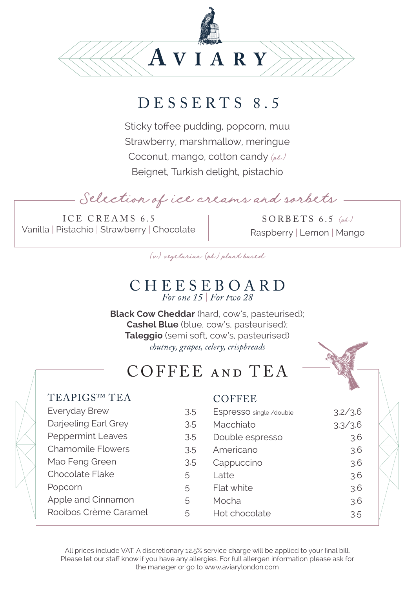

### DESSERTS 8.5

Sticky toffee pudding, popcorn, muu Strawberry, marshmallow, meringue Coconut, mango, cotton candy  $(\mu \&\nu)$ Beignet, Turkish delight, pistachio

Selection of ice creams and sorbets

ICE CREAMS 6.5 Vanilla | Pistachio | Strawberry | Chocolate

 $SORBETS$  6.5 (ph) Raspberry | Lemon | Mango

(v) vegetarian (pb) plant based

# CHEESEBOARD *For one 15* | *For two 28*

**Black Cow Cheddar** (hard, cow's, pasteurised); **Cashel Blue** (blue, cow's, pasteurised); **Taleggio** (semi soft, cow's, pasteurised) *chutney, grapes, celery, crispbreads*

### COFFEE and TEA

#### TEAPIGS™ TEA

#### **COFFEE**

| Everyday Brew            | 3.5 |
|--------------------------|-----|
| Darjeeling Earl Grey     | 3.5 |
| <b>Peppermint Leaves</b> | 3.5 |
| Chamomile Flowers        | 3.5 |
| Mao Feng Green           | 3.5 |
| Chocolate Flake          | 5   |
| Popcorn                  | 5   |
| Apple and Cinnamon       | 5   |
| Rooibos Crème Caramel    | 5   |
|                          |     |

| .5 | Espresso single/double | 3.2/3.6   |
|----|------------------------|-----------|
| .5 | Macchiato              | 3.3 / 3.6 |
| .5 | Double espresso        | 3.6       |
| .5 | Americano              | 3.6       |
| 5  | Cappuccino             | 3.6       |
|    | Latte                  | 3.6       |
|    | Flat white             | 3.6       |
|    | Mocha                  | 3.6       |
|    | Hot chocolate          | 3.5       |

All prices include VAT. A discretionary 12.5% service charge will be applied to your final bill. Please let our staff know if you have any allergies. For full allergen information please ask for the manager or go to www.aviarylondon.com